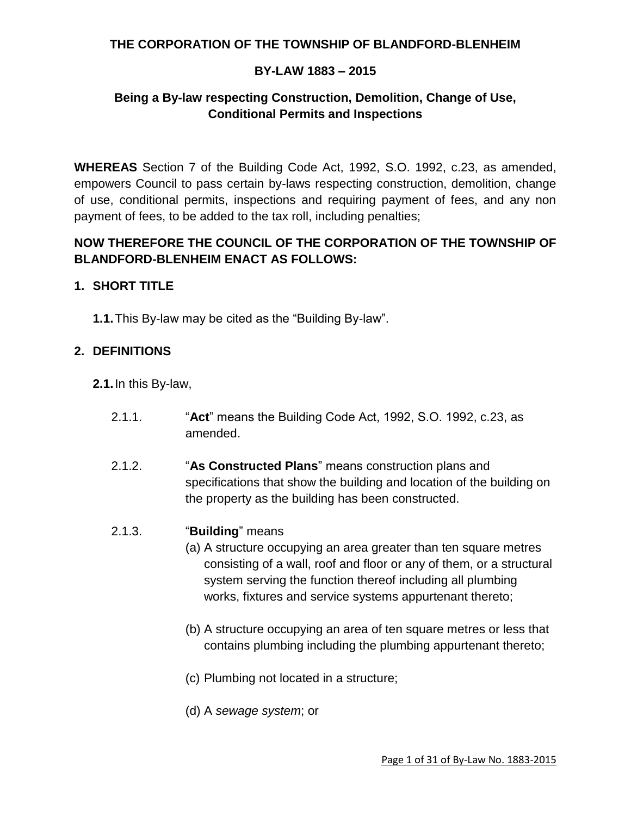## **THE CORPORATION OF THE TOWNSHIP OF BLANDFORD-BLENHEIM**

## **BY-LAW 1883 – 2015**

# **Being a By-law respecting Construction, Demolition, Change of Use, Conditional Permits and Inspections**

**WHEREAS** Section 7 of the Building Code Act, 1992, S.O. 1992, c.23, as amended, empowers Council to pass certain by-laws respecting construction, demolition, change of use, conditional permits, inspections and requiring payment of fees, and any non payment of fees, to be added to the tax roll, including penalties;

## **NOW THEREFORE THE COUNCIL OF THE CORPORATION OF THE TOWNSHIP OF BLANDFORD-BLENHEIM ENACT AS FOLLOWS:**

#### **1. SHORT TITLE**

**1.1.**This By-law may be cited as the "Building By-law".

#### **2. DEFINITIONS**

- **2.1.**In this By-law,
	- 2.1.1. "**Act**" means the Building Code Act, 1992, S.O. 1992, c.23, as amended.
	- 2.1.2. "**As Constructed Plans**" means construction plans and specifications that show the building and location of the building on the property as the building has been constructed.

#### 2.1.3. "**Building**" means

- (a) A structure occupying an area greater than ten square metres consisting of a wall, roof and floor or any of them, or a structural system serving the function thereof including all plumbing works, fixtures and service systems appurtenant thereto;
- (b) A structure occupying an area of ten square metres or less that contains plumbing including the plumbing appurtenant thereto;
- (c) Plumbing not located in a structure;
- (d) A *sewage system*; or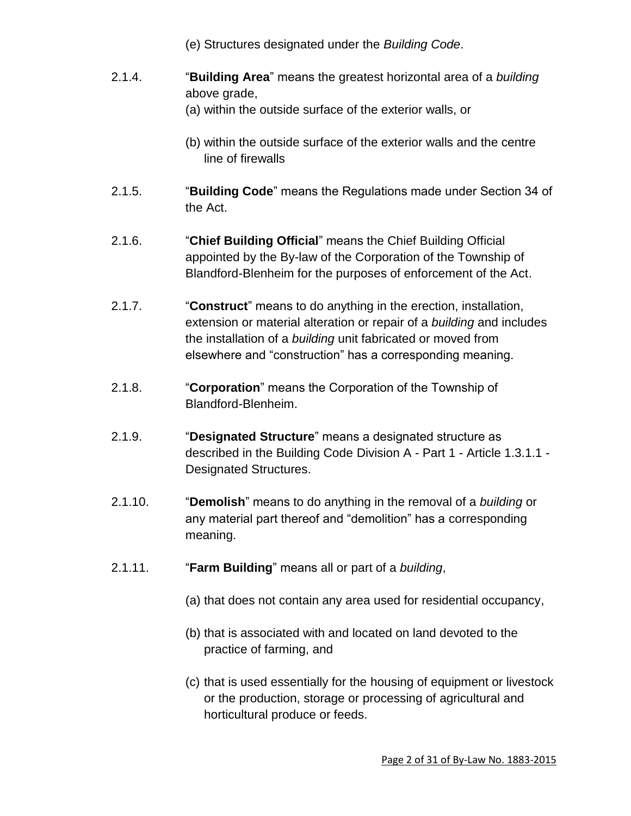- (e) Structures designated under the *Building Code*.
- 2.1.4. "**Building Area**" means the greatest horizontal area of a *building* above grade,
	- (a) within the outside surface of the exterior walls, or
	- (b) within the outside surface of the exterior walls and the centre line of firewalls
- 2.1.5. "**Building Code**" means the Regulations made under Section 34 of the Act.
- 2.1.6. "**Chief Building Official**" means the Chief Building Official appointed by the By-law of the Corporation of the Township of Blandford-Blenheim for the purposes of enforcement of the Act.
- 2.1.7. "**Construct**" means to do anything in the erection, installation, extension or material alteration or repair of a *building* and includes the installation of a *building* unit fabricated or moved from elsewhere and "construction" has a corresponding meaning.
- 2.1.8. "**Corporation**" means the Corporation of the Township of Blandford-Blenheim.
- 2.1.9. "**Designated Structure**" means a designated structure as described in the Building Code Division A - Part 1 - Article 1.3.1.1 - Designated Structures.
- 2.1.10. "**Demolish**" means to do anything in the removal of a *building* or any material part thereof and "demolition" has a corresponding meaning.
- 2.1.11. "**Farm Building**" means all or part of a *building*,
	- (a) that does not contain any area used for residential occupancy,
	- (b) that is associated with and located on land devoted to the practice of farming, and
	- (c) that is used essentially for the housing of equipment or livestock or the production, storage or processing of agricultural and horticultural produce or feeds.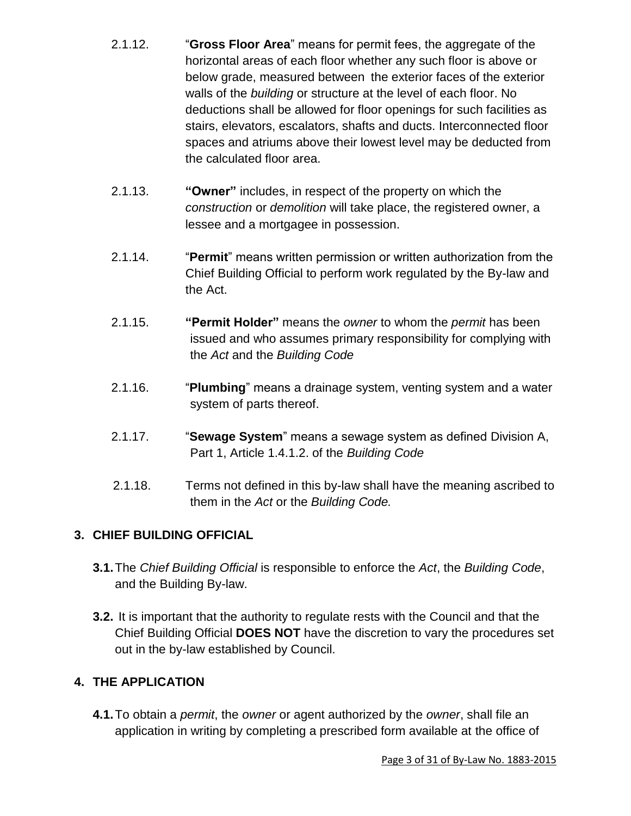- 2.1.12. "**Gross Floor Area**" means for permit fees, the aggregate of the horizontal areas of each floor whether any such floor is above or below grade, measured between the exterior faces of the exterior walls of the *building* or structure at the level of each floor. No deductions shall be allowed for floor openings for such facilities as stairs, elevators, escalators, shafts and ducts. Interconnected floor spaces and atriums above their lowest level may be deducted from the calculated floor area.
- 2.1.13. **"Owner"** includes, in respect of the property on which the *construction* or *demolition* will take place, the registered owner, a lessee and a mortgagee in possession.
- 2.1.14. "**Permit**" means written permission or written authorization from the Chief Building Official to perform work regulated by the By-law and the Act.
- 2.1.15. **"Permit Holder"** means the *owner* to whom the *permit* has been issued and who assumes primary responsibility for complying with the *Act* and the *Building Code*
- 2.1.16. "**Plumbing**" means a drainage system, venting system and a water system of parts thereof.
- 2.1.17. "**Sewage System**" means a sewage system as defined Division A, Part 1, Article 1.4.1.2. of the *Building Code*
- 2.1.18. Terms not defined in this by-law shall have the meaning ascribed to them in the *Act* or the *Building Code.*

# **3. CHIEF BUILDING OFFICIAL**

- **3.1.**The *Chief Building Official* is responsible to enforce the *Act*, the *Building Code*, and the Building By-law.
- **3.2.** It is important that the authority to regulate rests with the Council and that the Chief Building Official **DOES NOT** have the discretion to vary the procedures set out in the by-law established by Council.

# **4. THE APPLICATION**

**4.1.**To obtain a *permit*, the *owner* or agent authorized by the *owner*, shall file an application in writing by completing a prescribed form available at the office of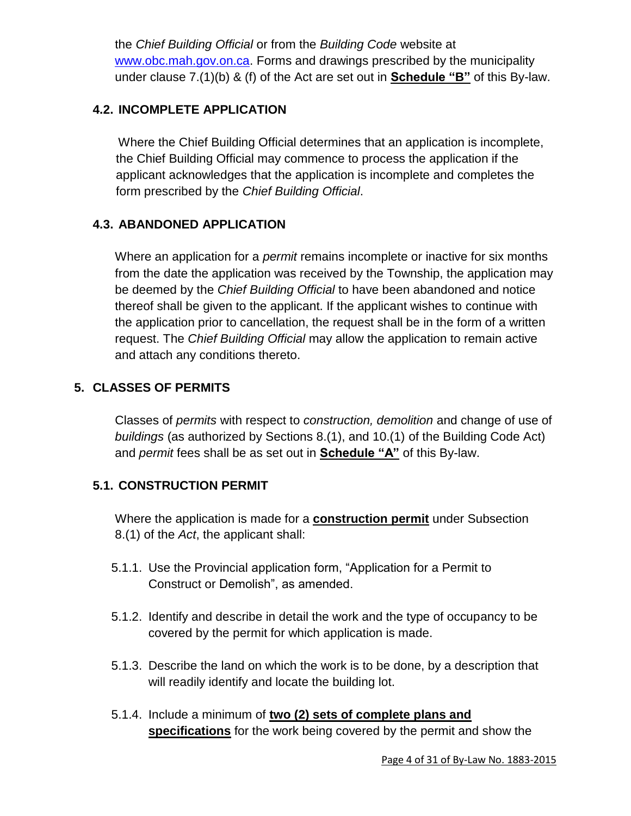the *Chief Building Official* or from the *Building Code* website at [www.obc.mah.gov.on.ca.](http://www.obc.mah.gov.on.ca/) Forms and drawings prescribed by the municipality under clause 7.(1)(b) & (f) of the Act are set out in **Schedule "B"** of this By-law.

# **4.2. INCOMPLETE APPLICATION**

Where the Chief Building Official determines that an application is incomplete, the Chief Building Official may commence to process the application if the applicant acknowledges that the application is incomplete and completes the form prescribed by the *Chief Building Official*.

# **4.3. ABANDONED APPLICATION**

Where an application for a *permit* remains incomplete or inactive for six months from the date the application was received by the Township, the application may be deemed by the *Chief Building Official* to have been abandoned and notice thereof shall be given to the applicant. If the applicant wishes to continue with the application prior to cancellation, the request shall be in the form of a written request. The *Chief Building Official* may allow the application to remain active and attach any conditions thereto.

# **5. CLASSES OF PERMITS**

Classes of *permits* with respect to *construction, demolition* and change of use of *buildings* (as authorized by Sections 8.(1), and 10.(1) of the Building Code Act) and *permit* fees shall be as set out in **Schedule "A"** of this By-law.

# **5.1. CONSTRUCTION PERMIT**

Where the application is made for a **construction permit** under Subsection 8.(1) of the *Act*, the applicant shall:

- 5.1.1. Use the Provincial application form, "Application for a Permit to Construct or Demolish", as amended.
- 5.1.2. Identify and describe in detail the work and the type of occupancy to be covered by the permit for which application is made.
- 5.1.3. Describe the land on which the work is to be done, by a description that will readily identify and locate the building lot.
- 5.1.4. Include a minimum of **two (2) sets of complete plans and specifications** for the work being covered by the permit and show the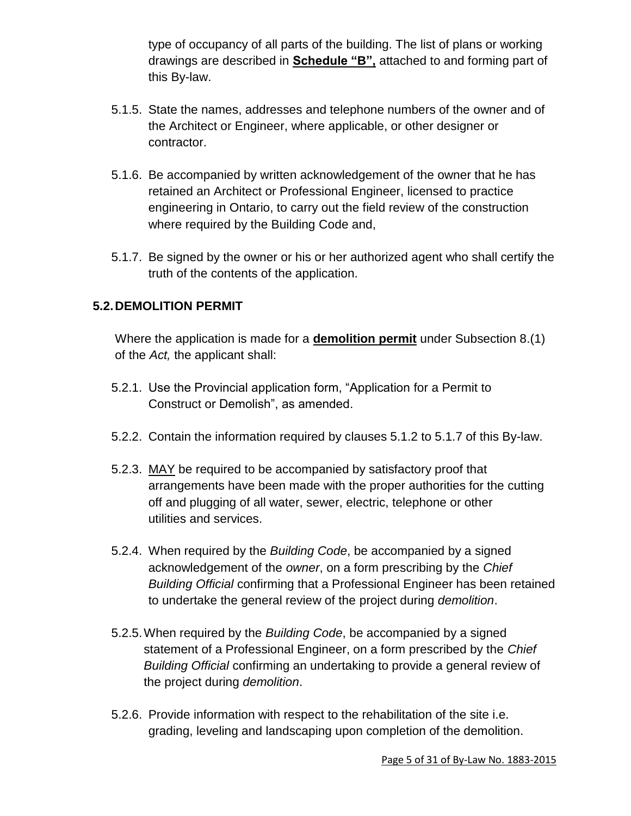type of occupancy of all parts of the building. The list of plans or working drawings are described in **Schedule "B",** attached to and forming part of this By-law.

- 5.1.5. State the names, addresses and telephone numbers of the owner and of the Architect or Engineer, where applicable, or other designer or contractor.
- 5.1.6. Be accompanied by written acknowledgement of the owner that he has retained an Architect or Professional Engineer, licensed to practice engineering in Ontario, to carry out the field review of the construction where required by the Building Code and,
- 5.1.7. Be signed by the owner or his or her authorized agent who shall certify the truth of the contents of the application.

# **5.2.DEMOLITION PERMIT**

Where the application is made for a **demolition permit** under Subsection 8.(1) of the *Act,* the applicant shall:

- 5.2.1. Use the Provincial application form, "Application for a Permit to Construct or Demolish", as amended.
- 5.2.2. Contain the information required by clauses 5.1.2 to 5.1.7 of this By-law.
- 5.2.3. MAY be required to be accompanied by satisfactory proof that arrangements have been made with the proper authorities for the cutting off and plugging of all water, sewer, electric, telephone or other utilities and services.
- 5.2.4. When required by the *Building Code*, be accompanied by a signed acknowledgement of the *owner*, on a form prescribing by the *Chief Building Official* confirming that a Professional Engineer has been retained to undertake the general review of the project during *demolition*.
- 5.2.5.When required by the *Building Code*, be accompanied by a signed statement of a Professional Engineer, on a form prescribed by the *Chief Building Official* confirming an undertaking to provide a general review of the project during *demolition*.
- 5.2.6. Provide information with respect to the rehabilitation of the site i.e. grading, leveling and landscaping upon completion of the demolition.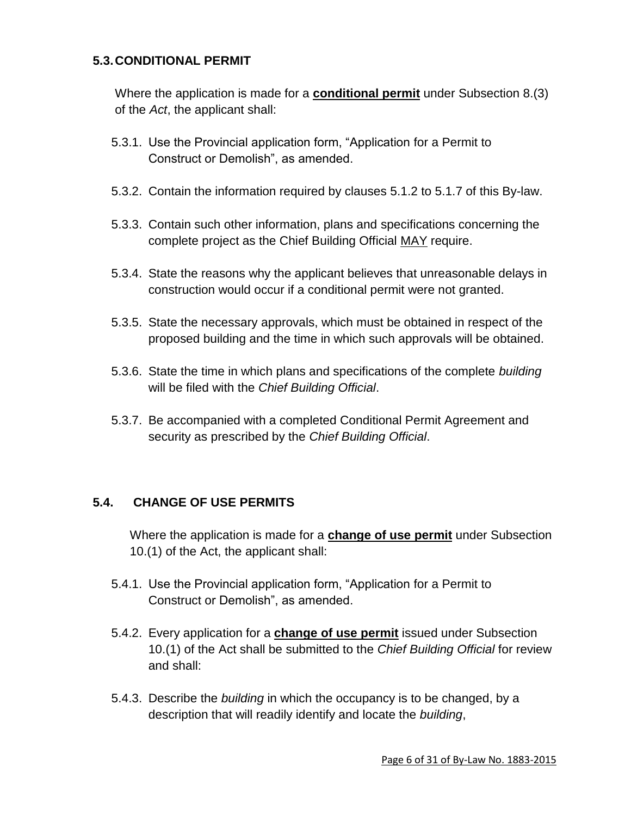## **5.3.CONDITIONAL PERMIT**

Where the application is made for a **conditional permit** under Subsection 8.(3) of the *Act*, the applicant shall:

- 5.3.1. Use the Provincial application form, "Application for a Permit to Construct or Demolish", as amended.
- 5.3.2. Contain the information required by clauses 5.1.2 to 5.1.7 of this By-law.
- 5.3.3. Contain such other information, plans and specifications concerning the complete project as the Chief Building Official MAY require.
- 5.3.4. State the reasons why the applicant believes that unreasonable delays in construction would occur if a conditional permit were not granted.
- 5.3.5. State the necessary approvals, which must be obtained in respect of the proposed building and the time in which such approvals will be obtained.
- 5.3.6. State the time in which plans and specifications of the complete *building* will be filed with the *Chief Building Official*.
- 5.3.7. Be accompanied with a completed Conditional Permit Agreement and security as prescribed by the *Chief Building Official*.

# **5.4. CHANGE OF USE PERMITS**

Where the application is made for a **change of use permit** under Subsection 10.(1) of the Act, the applicant shall:

- 5.4.1. Use the Provincial application form, "Application for a Permit to Construct or Demolish", as amended.
- 5.4.2. Every application for a **change of use permit** issued under Subsection 10.(1) of the Act shall be submitted to the *Chief Building Official* for review and shall:
- 5.4.3. Describe the *building* in which the occupancy is to be changed, by a description that will readily identify and locate the *building*,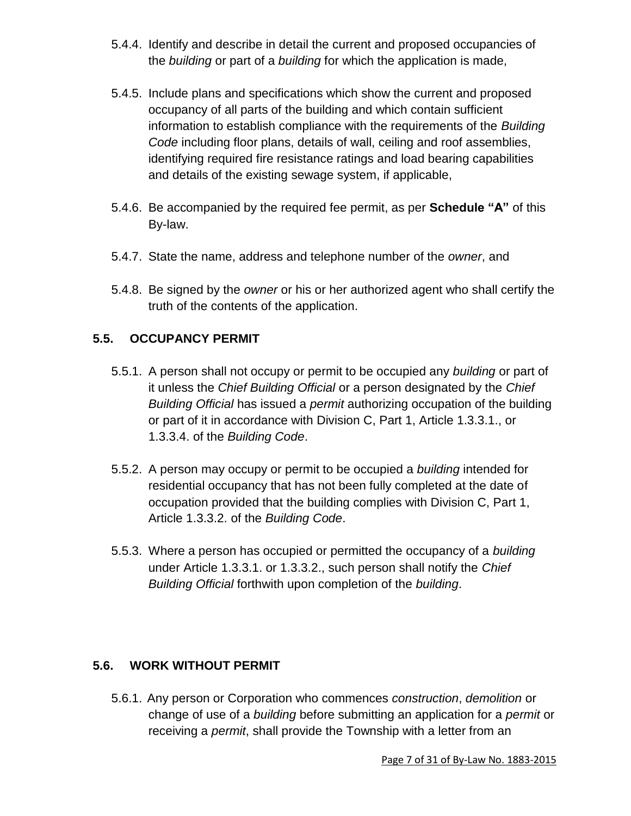- 5.4.4. Identify and describe in detail the current and proposed occupancies of the *building* or part of a *building* for which the application is made,
- 5.4.5. Include plans and specifications which show the current and proposed occupancy of all parts of the building and which contain sufficient information to establish compliance with the requirements of the *Building Code* including floor plans, details of wall, ceiling and roof assemblies, identifying required fire resistance ratings and load bearing capabilities and details of the existing sewage system, if applicable,
- 5.4.6. Be accompanied by the required fee permit, as per **Schedule "A"** of this By-law.
- 5.4.7. State the name, address and telephone number of the *owner*, and
- 5.4.8. Be signed by the *owner* or his or her authorized agent who shall certify the truth of the contents of the application.

# **5.5. OCCUPANCY PERMIT**

- 5.5.1. A person shall not occupy or permit to be occupied any *building* or part of it unless the *Chief Building Official* or a person designated by the *Chief Building Official* has issued a *permit* authorizing occupation of the building or part of it in accordance with Division C, Part 1, Article 1.3.3.1., or 1.3.3.4. of the *Building Code*.
- 5.5.2. A person may occupy or permit to be occupied a *building* intended for residential occupancy that has not been fully completed at the date of occupation provided that the building complies with Division C, Part 1, Article 1.3.3.2. of the *Building Code*.
- 5.5.3. Where a person has occupied or permitted the occupancy of a *building* under Article 1.3.3.1. or 1.3.3.2., such person shall notify the *Chief Building Official* forthwith upon completion of the *building*.

# **5.6. WORK WITHOUT PERMIT**

5.6.1. Any person or Corporation who commences *construction*, *demolition* or change of use of a *building* before submitting an application for a *permit* or receiving a *permit*, shall provide the Township with a letter from an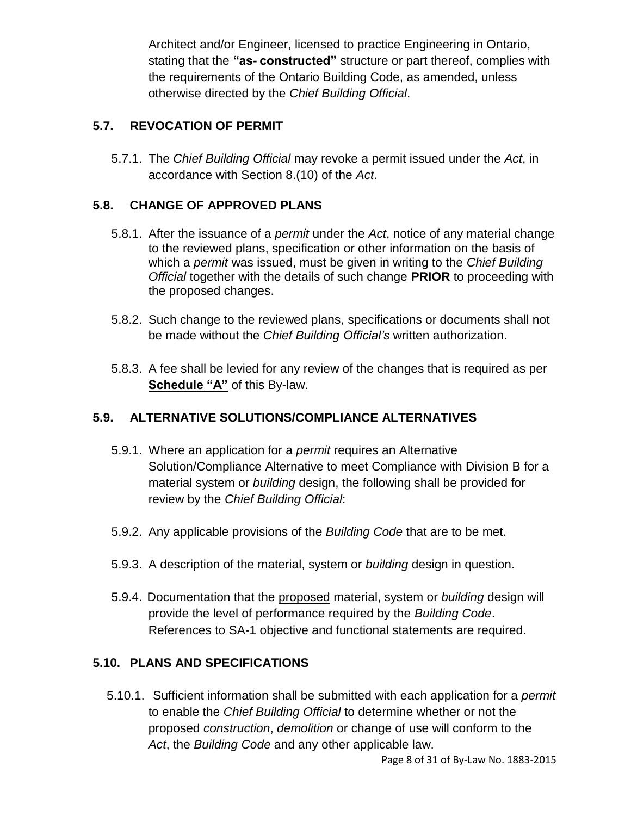Architect and/or Engineer, licensed to practice Engineering in Ontario, stating that the **"as- constructed"** structure or part thereof, complies with the requirements of the Ontario Building Code, as amended, unless otherwise directed by the *Chief Building Official*.

# **5.7. REVOCATION OF PERMIT**

5.7.1. The *Chief Building Official* may revoke a permit issued under the *Act*, in accordance with Section 8.(10) of the *Act*.

# **5.8. CHANGE OF APPROVED PLANS**

- 5.8.1. After the issuance of a *permit* under the *Act*, notice of any material change to the reviewed plans, specification or other information on the basis of which a *permit* was issued, must be given in writing to the *Chief Building Official* together with the details of such change **PRIOR** to proceeding with the proposed changes.
- 5.8.2. Such change to the reviewed plans, specifications or documents shall not be made without the *Chief Building Official's* written authorization.
- 5.8.3. A fee shall be levied for any review of the changes that is required as per **Schedule "A"** of this By-law.

# **5.9. ALTERNATIVE SOLUTIONS/COMPLIANCE ALTERNATIVES**

- 5.9.1. Where an application for a *permit* requires an Alternative Solution/Compliance Alternative to meet Compliance with Division B for a material system or *building* design, the following shall be provided for review by the *Chief Building Official*:
- 5.9.2. Any applicable provisions of the *Building Code* that are to be met.
- 5.9.3. A description of the material, system or *building* design in question.
- 5.9.4. Documentation that the proposed material, system or *building* design will provide the level of performance required by the *Building Code*. References to SA-1 objective and functional statements are required.

# **5.10. PLANS AND SPECIFICATIONS**

5.10.1. Sufficient information shall be submitted with each application for a *permit* to enable the *Chief Building Official* to determine whether or not the proposed *construction*, *demolition* or change of use will conform to the *Act*, the *Building Code* and any other applicable law.

Page 8 of 31 of By-Law No. 1883-2015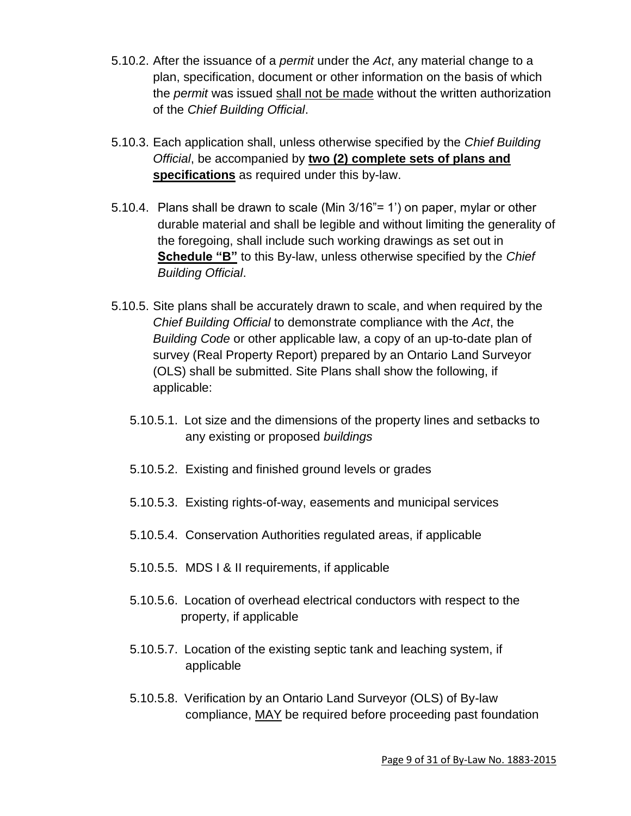- 5.10.2. After the issuance of a *permit* under the *Act*, any material change to a plan, specification, document or other information on the basis of which the *permit* was issued shall not be made without the written authorization of the *Chief Building Official*.
- 5.10.3. Each application shall, unless otherwise specified by the *Chief Building Official*, be accompanied by **two (2) complete sets of plans and specifications** as required under this by-law.
- 5.10.4. Plans shall be drawn to scale (Min 3/16"= 1') on paper, mylar or other durable material and shall be legible and without limiting the generality of the foregoing, shall include such working drawings as set out in **Schedule "B"** to this By-law, unless otherwise specified by the *Chief Building Official*.
- 5.10.5. Site plans shall be accurately drawn to scale, and when required by the *Chief Building Official* to demonstrate compliance with the *Act*, the *Building Code* or other applicable law, a copy of an up-to-date plan of survey (Real Property Report) prepared by an Ontario Land Surveyor (OLS) shall be submitted. Site Plans shall show the following, if applicable:
	- 5.10.5.1. Lot size and the dimensions of the property lines and setbacks to any existing or proposed *buildings*
	- 5.10.5.2. Existing and finished ground levels or grades
	- 5.10.5.3. Existing rights-of-way, easements and municipal services
	- 5.10.5.4. Conservation Authorities regulated areas, if applicable
	- 5.10.5.5. MDS I & II requirements, if applicable
	- 5.10.5.6. Location of overhead electrical conductors with respect to the property, if applicable
	- 5.10.5.7. Location of the existing septic tank and leaching system, if applicable
	- 5.10.5.8. Verification by an Ontario Land Surveyor (OLS) of By-law compliance, MAY be required before proceeding past foundation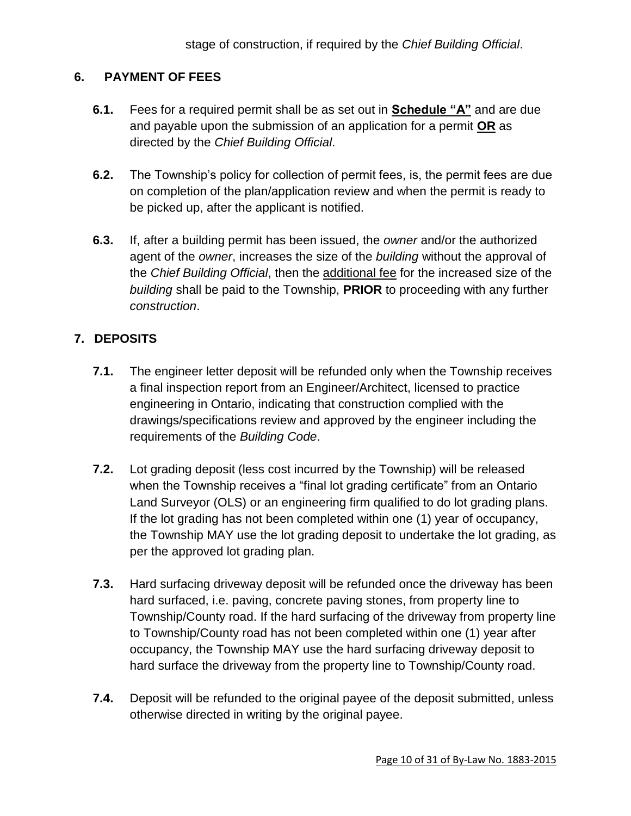# **6. PAYMENT OF FEES**

- **6.1.** Fees for a required permit shall be as set out in **Schedule "A"** and are due and payable upon the submission of an application for a permit **OR** as directed by the *Chief Building Official*.
- **6.2.** The Township's policy for collection of permit fees, is, the permit fees are due on completion of the plan/application review and when the permit is ready to be picked up, after the applicant is notified.
- **6.3.** If, after a building permit has been issued, the *owner* and/or the authorized agent of the *owner*, increases the size of the *building* without the approval of the *Chief Building Official*, then the additional fee for the increased size of the *building* shall be paid to the Township, **PRIOR** to proceeding with any further *construction*.

# **7. DEPOSITS**

- **7.1.** The engineer letter deposit will be refunded only when the Township receives a final inspection report from an Engineer/Architect, licensed to practice engineering in Ontario, indicating that construction complied with the drawings/specifications review and approved by the engineer including the requirements of the *Building Code*.
- **7.2.** Lot grading deposit (less cost incurred by the Township) will be released when the Township receives a "final lot grading certificate" from an Ontario Land Surveyor (OLS) or an engineering firm qualified to do lot grading plans. If the lot grading has not been completed within one (1) year of occupancy, the Township MAY use the lot grading deposit to undertake the lot grading, as per the approved lot grading plan.
- **7.3.** Hard surfacing driveway deposit will be refunded once the driveway has been hard surfaced, i.e. paving, concrete paving stones, from property line to Township/County road. If the hard surfacing of the driveway from property line to Township/County road has not been completed within one (1) year after occupancy, the Township MAY use the hard surfacing driveway deposit to hard surface the driveway from the property line to Township/County road.
- **7.4.** Deposit will be refunded to the original payee of the deposit submitted, unless otherwise directed in writing by the original payee.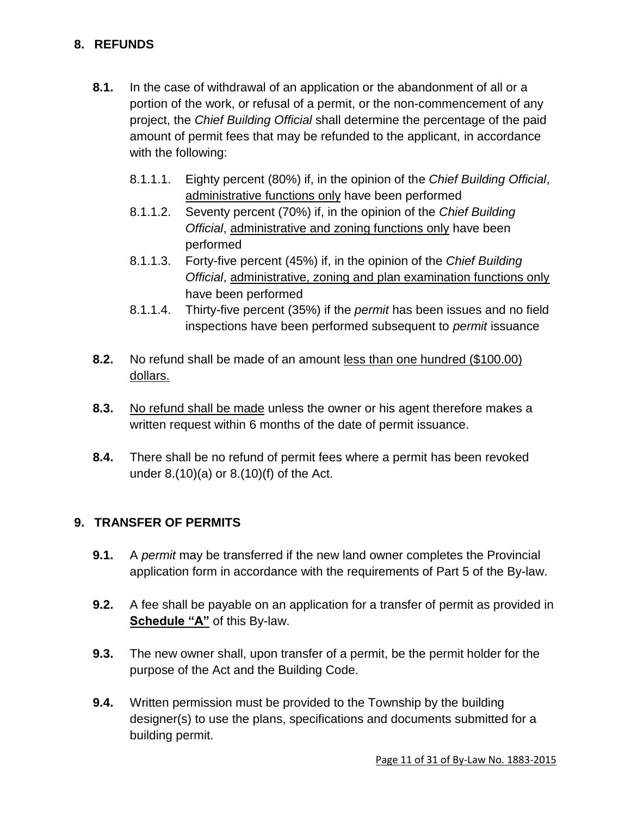# **8. REFUNDS**

- **8.1.** In the case of withdrawal of an application or the abandonment of all or a portion of the work, or refusal of a permit, or the non-commencement of any project, the *Chief Building Official* shall determine the percentage of the paid amount of permit fees that may be refunded to the applicant, in accordance with the following:
	- 8.1.1.1. Eighty percent (80%) if, in the opinion of the *Chief Building Official*, administrative functions only have been performed
	- 8.1.1.2. Seventy percent (70%) if, in the opinion of the *Chief Building Official*, administrative and zoning functions only have been performed
	- 8.1.1.3. Forty-five percent (45%) if, in the opinion of the *Chief Building Official*, administrative, zoning and plan examination functions only have been performed
	- 8.1.1.4. Thirty-five percent (35%) if the *permit* has been issues and no field inspections have been performed subsequent to *permit* issuance
- **8.2.** No refund shall be made of an amount less than one hundred (\$100.00) dollars.
- **8.3.** No refund shall be made unless the owner or his agent therefore makes a written request within 6 months of the date of permit issuance.
- **8.4.** There shall be no refund of permit fees where a permit has been revoked under 8.(10)(a) or 8.(10)(f) of the Act.

# **9. TRANSFER OF PERMITS**

- **9.1.** A *permit* may be transferred if the new land owner completes the Provincial application form in accordance with the requirements of Part 5 of the By-law.
- **9.2.** A fee shall be payable on an application for a transfer of permit as provided in **Schedule "A"** of this By-law.
- **9.3.** The new owner shall, upon transfer of a permit, be the permit holder for the purpose of the Act and the Building Code.
- **9.4.** Written permission must be provided to the Township by the building designer(s) to use the plans, specifications and documents submitted for a building permit.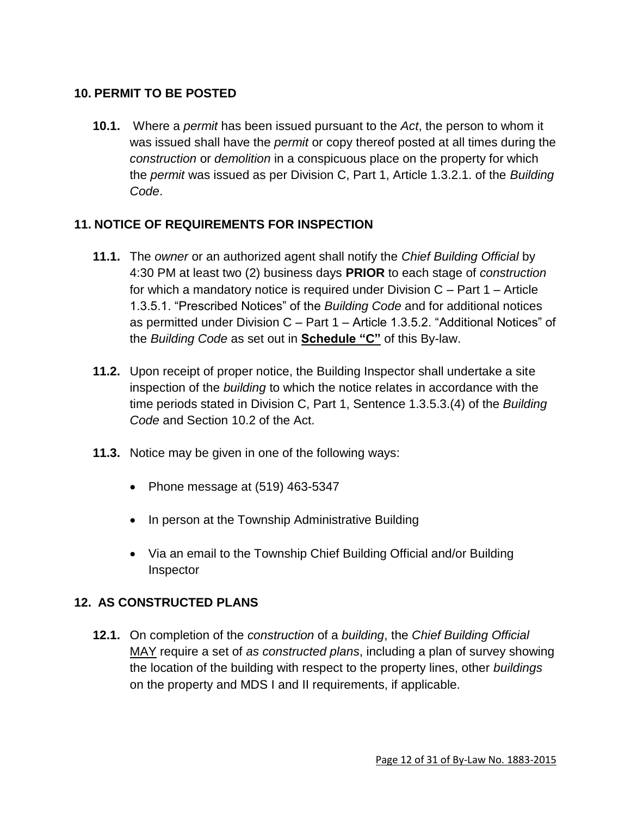# **10. PERMIT TO BE POSTED**

**10.1.** Where a *permit* has been issued pursuant to the *Act*, the person to whom it was issued shall have the *permit* or copy thereof posted at all times during the *construction* or *demolition* in a conspicuous place on the property for which the *permit* was issued as per Division C, Part 1, Article 1.3.2.1. of the *Building Code*.

# **11. NOTICE OF REQUIREMENTS FOR INSPECTION**

- **11.1.** The *owner* or an authorized agent shall notify the *Chief Building Official* by 4:30 PM at least two (2) business days **PRIOR** to each stage of *construction* for which a mandatory notice is required under Division C – Part 1 – Article 1.3.5.1. "Prescribed Notices" of the *Building Code* and for additional notices as permitted under Division C – Part 1 – Article 1.3.5.2. "Additional Notices" of the *Building Code* as set out in **Schedule "C"** of this By-law.
- **11.2.** Upon receipt of proper notice, the Building Inspector shall undertake a site inspection of the *building* to which the notice relates in accordance with the time periods stated in Division C, Part 1, Sentence 1.3.5.3.(4) of the *Building Code* and Section 10.2 of the Act.
- **11.3.** Notice may be given in one of the following ways:
	- Phone message at  $(519)$  463-5347
	- In person at the Township Administrative Building
	- Via an email to the Township Chief Building Official and/or Building Inspector

# **12. AS CONSTRUCTED PLANS**

**12.1.** On completion of the *construction* of a *building*, the *Chief Building Official* MAY require a set of *as constructed plans*, including a plan of survey showing the location of the building with respect to the property lines, other *buildings* on the property and MDS I and II requirements, if applicable.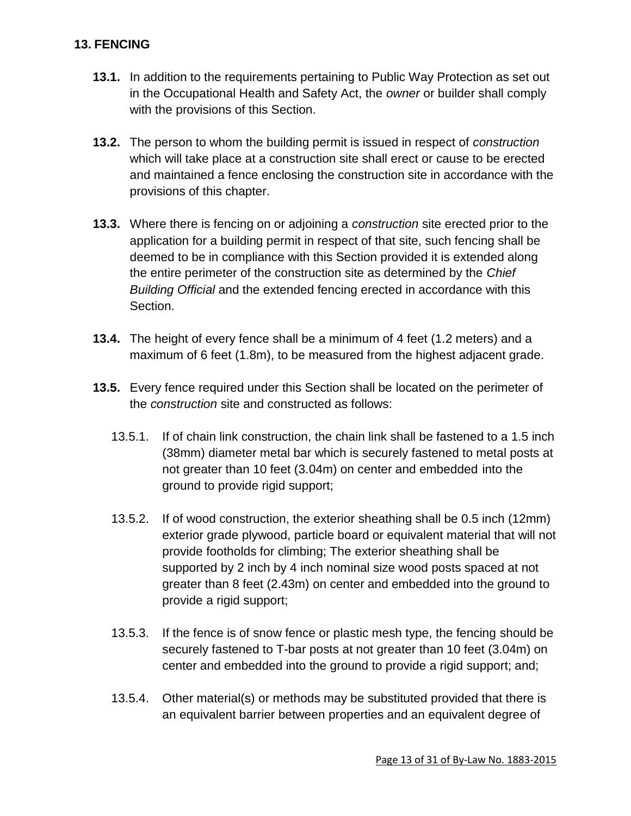## **13. FENCING**

- **13.1.** In addition to the requirements pertaining to Public Way Protection as set out in the Occupational Health and Safety Act, the *owner* or builder shall comply with the provisions of this Section.
- **13.2.** The person to whom the building permit is issued in respect of *construction* which will take place at a construction site shall erect or cause to be erected and maintained a fence enclosing the construction site in accordance with the provisions of this chapter.
- **13.3.** Where there is fencing on or adjoining a *construction* site erected prior to the application for a building permit in respect of that site, such fencing shall be deemed to be in compliance with this Section provided it is extended along the entire perimeter of the construction site as determined by the *Chief Building Official* and the extended fencing erected in accordance with this Section.
- **13.4.** The height of every fence shall be a minimum of 4 feet (1.2 meters) and a maximum of 6 feet (1.8m), to be measured from the highest adjacent grade.
- **13.5.** Every fence required under this Section shall be located on the perimeter of the *construction* site and constructed as follows:
	- 13.5.1. If of chain link construction, the chain link shall be fastened to a 1.5 inch (38mm) diameter metal bar which is securely fastened to metal posts at not greater than 10 feet (3.04m) on center and embedded into the ground to provide rigid support;
	- 13.5.2. If of wood construction, the exterior sheathing shall be 0.5 inch (12mm) exterior grade plywood, particle board or equivalent material that will not provide footholds for climbing; The exterior sheathing shall be supported by 2 inch by 4 inch nominal size wood posts spaced at not greater than 8 feet (2.43m) on center and embedded into the ground to provide a rigid support;
	- 13.5.3. If the fence is of snow fence or plastic mesh type, the fencing should be securely fastened to T-bar posts at not greater than 10 feet (3.04m) on center and embedded into the ground to provide a rigid support; and;
	- 13.5.4. Other material(s) or methods may be substituted provided that there is an equivalent barrier between properties and an equivalent degree of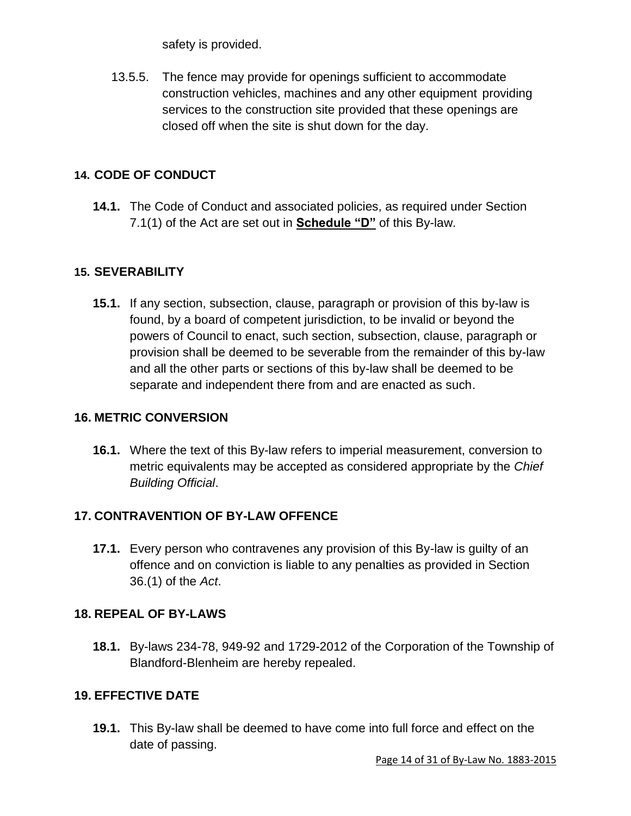safety is provided.

13.5.5. The fence may provide for openings sufficient to accommodate construction vehicles, machines and any other equipment providing services to the construction site provided that these openings are closed off when the site is shut down for the day.

# **14. CODE OF CONDUCT**

**14.1.** The Code of Conduct and associated policies, as required under Section 7.1(1) of the Act are set out in **Schedule "D"** of this By-law.

# **15. SEVERABILITY**

**15.1.** If any section, subsection, clause, paragraph or provision of this by-law is found, by a board of competent jurisdiction, to be invalid or beyond the powers of Council to enact, such section, subsection, clause, paragraph or provision shall be deemed to be severable from the remainder of this by-law and all the other parts or sections of this by-law shall be deemed to be separate and independent there from and are enacted as such.

# **16. METRIC CONVERSION**

**16.1.** Where the text of this By-law refers to imperial measurement, conversion to metric equivalents may be accepted as considered appropriate by the *Chief Building Official*.

# **17. CONTRAVENTION OF BY-LAW OFFENCE**

**17.1.** Every person who contravenes any provision of this By-law is guilty of an offence and on conviction is liable to any penalties as provided in Section 36.(1) of the *Act*.

# **18. REPEAL OF BY-LAWS**

**18.1.** By-laws 234-78, 949-92 and 1729-2012 of the Corporation of the Township of Blandford-Blenheim are hereby repealed.

# **19. EFFECTIVE DATE**

**19.1.** This By-law shall be deemed to have come into full force and effect on the date of passing.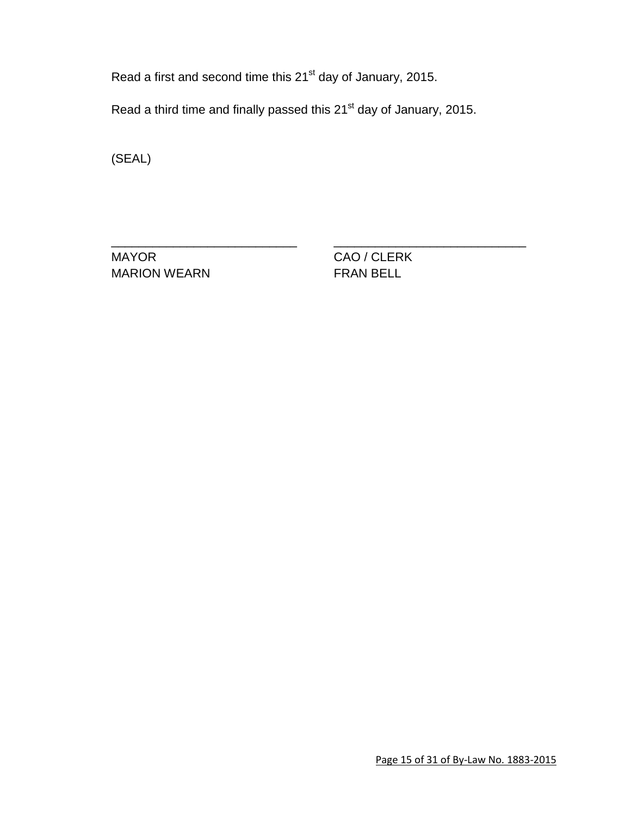Read a first and second time this 21<sup>st</sup> day of January, 2015.

Read a third time and finally passed this 21<sup>st</sup> day of January, 2015.

\_\_\_\_\_\_\_\_\_\_\_\_\_\_\_\_\_\_\_\_\_\_\_\_\_\_\_ \_\_\_\_\_\_\_\_\_\_\_\_\_\_\_\_\_\_\_\_\_\_\_\_\_\_\_\_

(SEAL)

MAYOR CAO / CLERK MARION WEARN **FRAN BELL**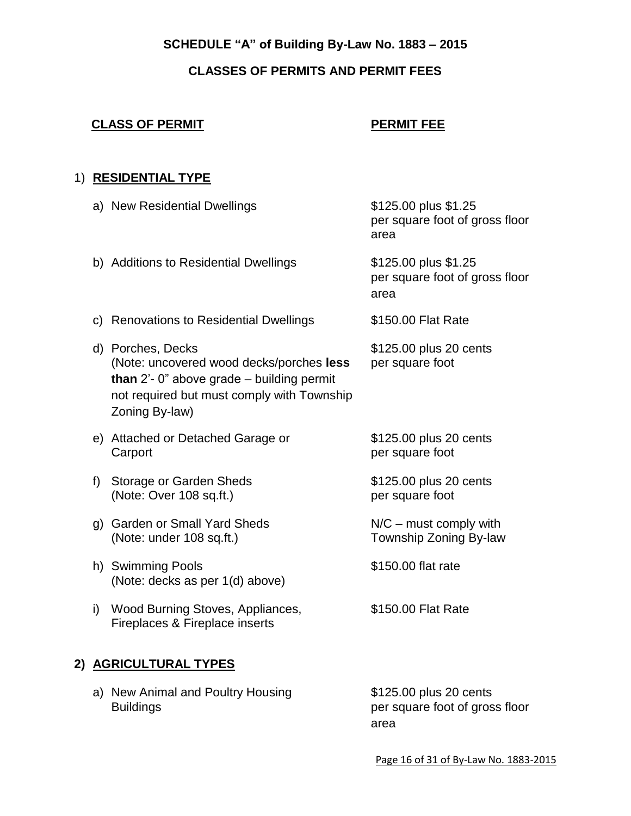# **SCHEDULE "A" of Building By-Law No. 1883 – 2015**

# **CLASSES OF PERMITS AND PERMIT FEES**

## **CLASS OF PERMIT PERMIT FEE**

# 1) **RESIDENTIAL TYPE**

|    | a) New Residential Dwellings                                                                                                                                                    | \$125.00 plus \$1.25<br>per square foot of gross floor<br>area |
|----|---------------------------------------------------------------------------------------------------------------------------------------------------------------------------------|----------------------------------------------------------------|
|    | b) Additions to Residential Dwellings                                                                                                                                           | \$125.00 plus \$1.25<br>per square foot of gross floor<br>area |
|    | c) Renovations to Residential Dwellings                                                                                                                                         | \$150.00 Flat Rate                                             |
|    | d) Porches, Decks<br>(Note: uncovered wood decks/porches less<br>than $2'$ - 0" above grade $-$ building permit<br>not required but must comply with Township<br>Zoning By-law) | \$125.00 plus 20 cents<br>per square foot                      |
|    | e) Attached or Detached Garage or<br>Carport                                                                                                                                    | \$125.00 plus 20 cents<br>per square foot                      |
| f  | Storage or Garden Sheds<br>(Note: Over 108 sq.ft.)                                                                                                                              | \$125.00 plus 20 cents<br>per square foot                      |
| g) | <b>Garden or Small Yard Sheds</b><br>(Note: under 108 sq.ft.)                                                                                                                   | $N/C$ – must comply with<br>Township Zoning By-law             |
|    | h) Swimming Pools<br>(Note: decks as per 1(d) above)                                                                                                                            | \$150.00 flat rate                                             |
| i) | Wood Burning Stoves, Appliances,<br>Fireplaces & Fireplace inserts                                                                                                              | \$150.00 Flat Rate                                             |
|    | 2) AGRICULTURAL TYPES                                                                                                                                                           |                                                                |

a) New Animal and Poultry Housing \$125.00 plus 20 cents<br>Buildings ber square foot of gros

per square foot of gross floor area

Page 16 of 31 of By-Law No. 1883-2015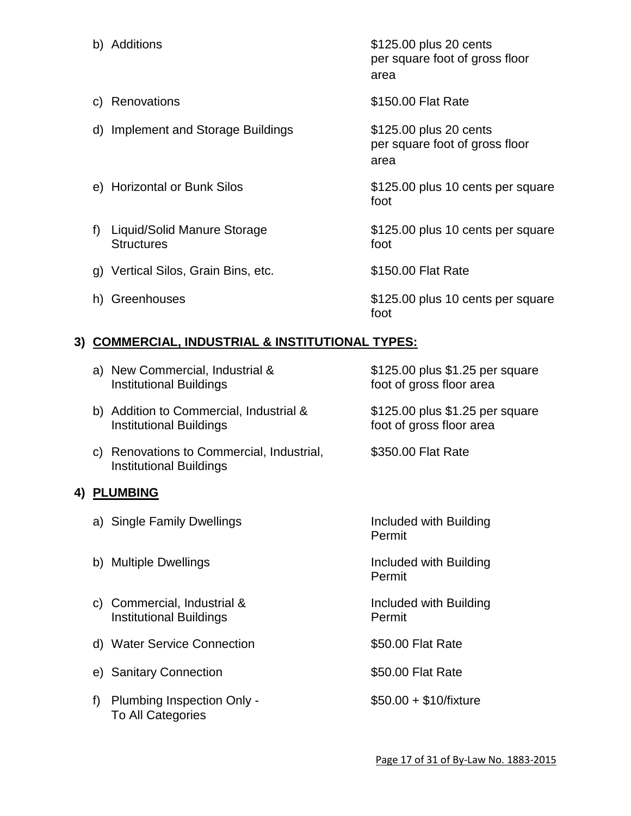b) Additions  $$125.00$  plus 20 cents per square foot of gross floor area c) Renovations \$150.00 Flat Rate d) Implement and Storage Buildings **\$125.00** plus 20 cents per square foot of gross floor area e) Horizontal or Bunk Silos \$125.00 plus 10 cents per square foot f) Liquid/Solid Manure Storage \$125.00 plus 10 cents per square Structures foot g) Vertical Silos, Grain Bins, etc. \$150.00 Flat Rate h) Greenhouses  $$125.00$  plus 10 cents per square foot

## **3) COMMERCIAL, INDUSTRIAL & INSTITUTIONAL TYPES:**

|    | a) New Commercial, Industrial &<br><b>Institutional Buildings</b>           | \$125.00 plus \$1.25 per square<br>foot of gross floor area |
|----|-----------------------------------------------------------------------------|-------------------------------------------------------------|
|    | b) Addition to Commercial, Industrial &<br><b>Institutional Buildings</b>   | \$125.00 plus \$1.25 per square<br>foot of gross floor area |
|    | c) Renovations to Commercial, Industrial,<br><b>Institutional Buildings</b> | \$350.00 Flat Rate                                          |
|    | 4) PLUMBING                                                                 |                                                             |
|    | a) Single Family Dwellings                                                  | Included with Building<br>Permit                            |
|    | b) Multiple Dwellings                                                       | Included with Building<br>Permit                            |
|    | c) Commercial, Industrial &<br><b>Institutional Buildings</b>               | Included with Building<br>Permit                            |
|    | d) Water Service Connection                                                 | \$50.00 Flat Rate                                           |
|    | e) Sanitary Connection                                                      | \$50.00 Flat Rate                                           |
| f) | Plumbing Inspection Only -<br>To All Categories                             | $$50.00 + $10/$ fixture                                     |
|    |                                                                             |                                                             |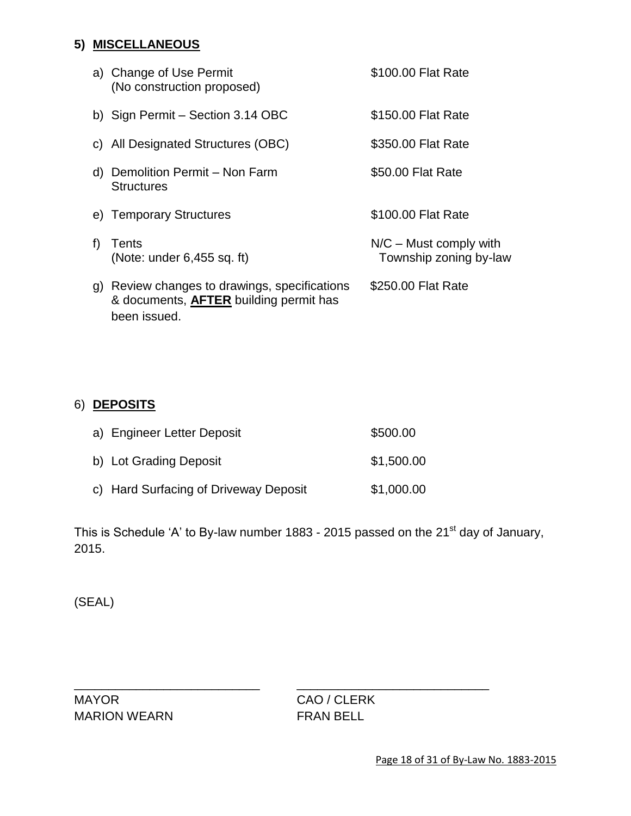# **5) MISCELLANEOUS**

|    | a) Change of Use Permit<br>(No construction proposed)                                                       | \$100.00 Flat Rate                                 |
|----|-------------------------------------------------------------------------------------------------------------|----------------------------------------------------|
|    | b) Sign Permit - Section 3.14 OBC                                                                           | \$150.00 Flat Rate                                 |
|    | c) All Designated Structures (OBC)                                                                          | \$350.00 Flat Rate                                 |
|    | d) Demolition Permit - Non Farm<br><b>Structures</b>                                                        | \$50.00 Flat Rate                                  |
|    | e) Temporary Structures                                                                                     | \$100.00 Flat Rate                                 |
| f  | Tents<br>(Note: under $6,455$ sq. ft)                                                                       | $N/C$ – Must comply with<br>Township zoning by-law |
| g) | Review changes to drawings, specifications<br>& documents, <b>AFTER</b> building permit has<br>been issued. | \$250.00 Flat Rate                                 |

# 6) **DEPOSITS**

| a) Engineer Letter Deposit            | \$500.00   |
|---------------------------------------|------------|
| b) Lot Grading Deposit                | \$1,500.00 |
| c) Hard Surfacing of Driveway Deposit | \$1,000.00 |

This is Schedule 'A' to By-law number 1883 - 2015 passed on the 21<sup>st</sup> day of January, 2015.

\_\_\_\_\_\_\_\_\_\_\_\_\_\_\_\_\_\_\_\_\_\_\_\_\_\_\_ \_\_\_\_\_\_\_\_\_\_\_\_\_\_\_\_\_\_\_\_\_\_\_\_\_\_\_\_

(SEAL)

MAYOR CAO / CLERK MARION WEARN FRAN BELL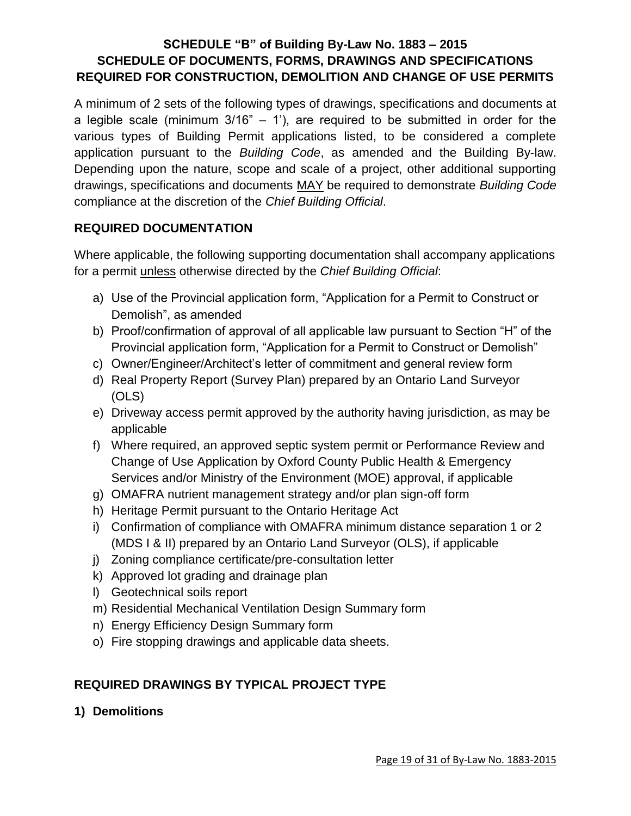# **SCHEDULE "B" of Building By-Law No. 1883 – 2015 SCHEDULE OF DOCUMENTS, FORMS, DRAWINGS AND SPECIFICATIONS REQUIRED FOR CONSTRUCTION, DEMOLITION AND CHANGE OF USE PERMITS**

A minimum of 2 sets of the following types of drawings, specifications and documents at a legible scale (minimum  $3/16" - 1'$ ), are required to be submitted in order for the various types of Building Permit applications listed, to be considered a complete application pursuant to the *Building Code*, as amended and the Building By-law. Depending upon the nature, scope and scale of a project, other additional supporting drawings, specifications and documents MAY be required to demonstrate *Building Code* compliance at the discretion of the *Chief Building Official*.

# **REQUIRED DOCUMENTATION**

Where applicable, the following supporting documentation shall accompany applications for a permit unless otherwise directed by the *Chief Building Official*:

- a) Use of the Provincial application form, "Application for a Permit to Construct or Demolish", as amended
- b) Proof/confirmation of approval of all applicable law pursuant to Section "H" of the Provincial application form, "Application for a Permit to Construct or Demolish"
- c) Owner/Engineer/Architect's letter of commitment and general review form
- d) Real Property Report (Survey Plan) prepared by an Ontario Land Surveyor (OLS)
- e) Driveway access permit approved by the authority having jurisdiction, as may be applicable
- f) Where required, an approved septic system permit or Performance Review and Change of Use Application by Oxford County Public Health & Emergency Services and/or Ministry of the Environment (MOE) approval, if applicable
- g) OMAFRA nutrient management strategy and/or plan sign-off form
- h) Heritage Permit pursuant to the Ontario Heritage Act
- i) Confirmation of compliance with OMAFRA minimum distance separation 1 or 2 (MDS I & II) prepared by an Ontario Land Surveyor (OLS), if applicable
- j) Zoning compliance certificate/pre-consultation letter
- k) Approved lot grading and drainage plan
- l) Geotechnical soils report
- m) Residential Mechanical Ventilation Design Summary form
- n) Energy Efficiency Design Summary form
- o) Fire stopping drawings and applicable data sheets.

# **REQUIRED DRAWINGS BY TYPICAL PROJECT TYPE**

**1) Demolitions**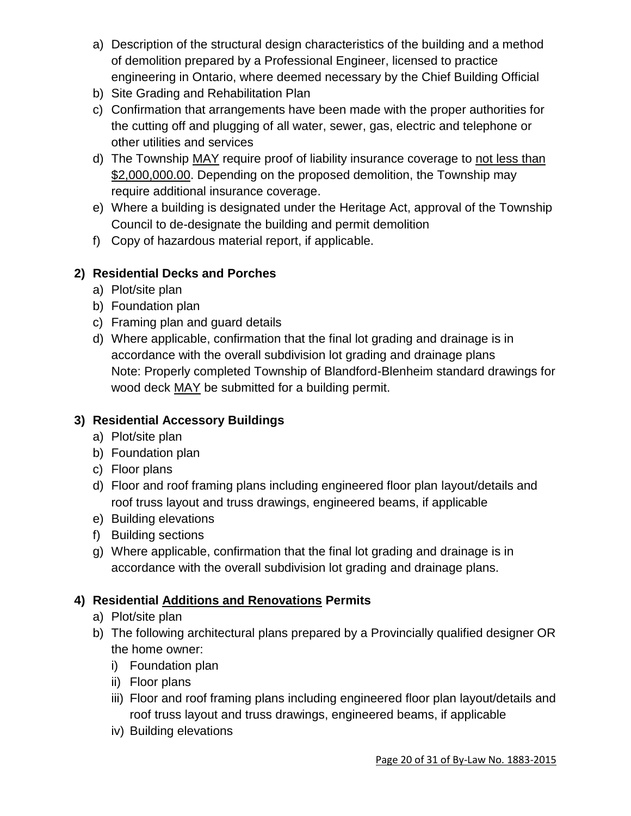- a) Description of the structural design characteristics of the building and a method of demolition prepared by a Professional Engineer, licensed to practice engineering in Ontario, where deemed necessary by the Chief Building Official
- b) Site Grading and Rehabilitation Plan
- c) Confirmation that arrangements have been made with the proper authorities for the cutting off and plugging of all water, sewer, gas, electric and telephone or other utilities and services
- d) The Township MAY require proof of liability insurance coverage to not less than \$2,000,000.00. Depending on the proposed demolition, the Township may require additional insurance coverage.
- e) Where a building is designated under the Heritage Act, approval of the Township Council to de-designate the building and permit demolition
- f) Copy of hazardous material report, if applicable.

# **2) Residential Decks and Porches**

- a) Plot/site plan
- b) Foundation plan
- c) Framing plan and guard details
- d) Where applicable, confirmation that the final lot grading and drainage is in accordance with the overall subdivision lot grading and drainage plans Note: Properly completed Township of Blandford-Blenheim standard drawings for wood deck MAY be submitted for a building permit.

# **3) Residential Accessory Buildings**

- a) Plot/site plan
- b) Foundation plan
- c) Floor plans
- d) Floor and roof framing plans including engineered floor plan layout/details and roof truss layout and truss drawings, engineered beams, if applicable
- e) Building elevations
- f) Building sections
- g) Where applicable, confirmation that the final lot grading and drainage is in accordance with the overall subdivision lot grading and drainage plans.

# **4) Residential Additions and Renovations Permits**

- a) Plot/site plan
- b) The following architectural plans prepared by a Provincially qualified designer OR the home owner:
	- i) Foundation plan
	- ii) Floor plans
	- iii) Floor and roof framing plans including engineered floor plan layout/details and roof truss layout and truss drawings, engineered beams, if applicable
	- iv) Building elevations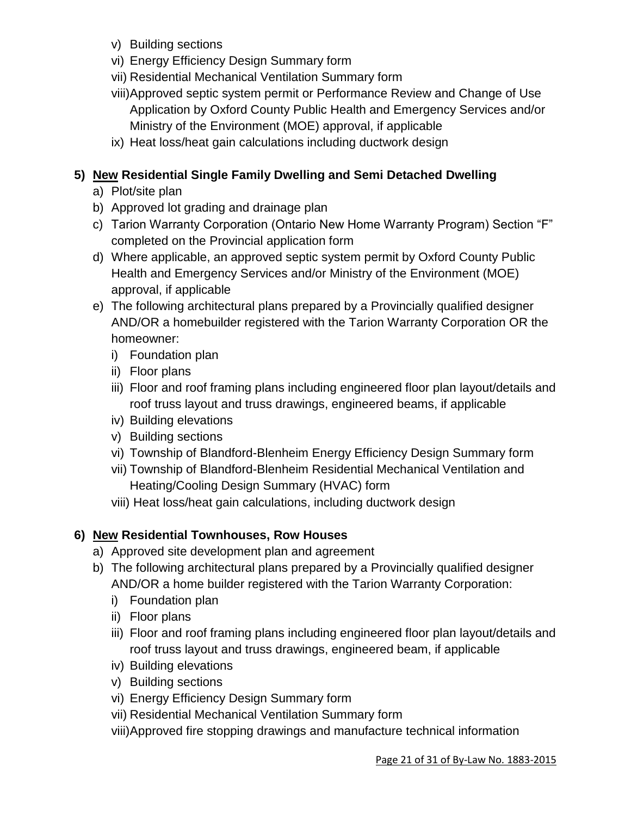- v) Building sections
- vi) Energy Efficiency Design Summary form
- vii) Residential Mechanical Ventilation Summary form
- viii)Approved septic system permit or Performance Review and Change of Use Application by Oxford County Public Health and Emergency Services and/or Ministry of the Environment (MOE) approval, if applicable
- ix) Heat loss/heat gain calculations including ductwork design

# **5) New Residential Single Family Dwelling and Semi Detached Dwelling**

- a) Plot/site plan
- b) Approved lot grading and drainage plan
- c) Tarion Warranty Corporation (Ontario New Home Warranty Program) Section "F" completed on the Provincial application form
- d) Where applicable, an approved septic system permit by Oxford County Public Health and Emergency Services and/or Ministry of the Environment (MOE) approval, if applicable
- e) The following architectural plans prepared by a Provincially qualified designer AND/OR a homebuilder registered with the Tarion Warranty Corporation OR the homeowner:
	- i) Foundation plan
	- ii) Floor plans
	- iii) Floor and roof framing plans including engineered floor plan layout/details and roof truss layout and truss drawings, engineered beams, if applicable
	- iv) Building elevations
	- v) Building sections
	- vi) Township of Blandford-Blenheim Energy Efficiency Design Summary form
	- vii) Township of Blandford-Blenheim Residential Mechanical Ventilation and Heating/Cooling Design Summary (HVAC) form
	- viii) Heat loss/heat gain calculations, including ductwork design

# **6) New Residential Townhouses, Row Houses**

- a) Approved site development plan and agreement
- b) The following architectural plans prepared by a Provincially qualified designer AND/OR a home builder registered with the Tarion Warranty Corporation:
	- i) Foundation plan
	- ii) Floor plans
	- iii) Floor and roof framing plans including engineered floor plan layout/details and roof truss layout and truss drawings, engineered beam, if applicable
	- iv) Building elevations
	- v) Building sections
	- vi) Energy Efficiency Design Summary form
	- vii) Residential Mechanical Ventilation Summary form
	- viii)Approved fire stopping drawings and manufacture technical information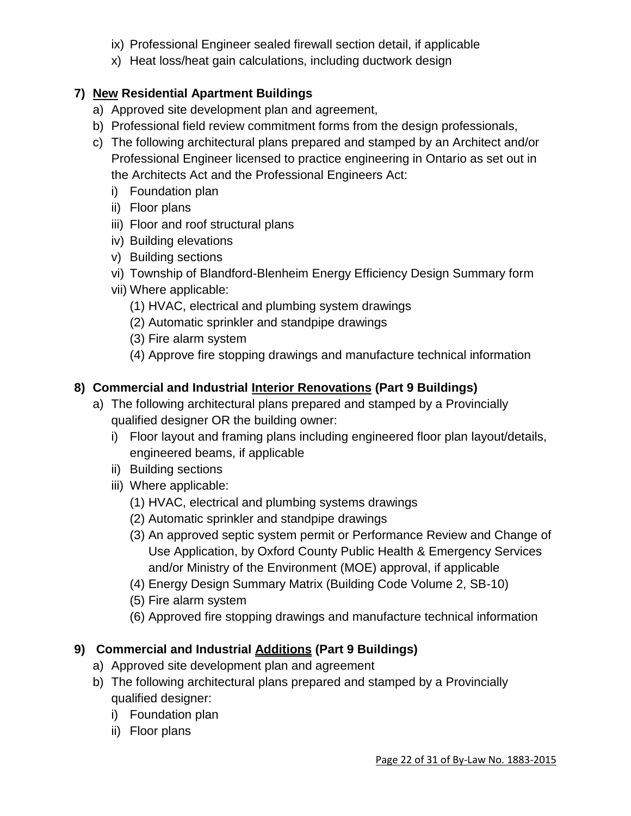- ix) Professional Engineer sealed firewall section detail, if applicable
- x) Heat loss/heat gain calculations, including ductwork design

# **7) New Residential Apartment Buildings**

- a) Approved site development plan and agreement,
- b) Professional field review commitment forms from the design professionals,
- c) The following architectural plans prepared and stamped by an Architect and/or Professional Engineer licensed to practice engineering in Ontario as set out in the Architects Act and the Professional Engineers Act:
	- i) Foundation plan
	- ii) Floor plans
	- iii) Floor and roof structural plans
	- iv) Building elevations
	- v) Building sections
	- vi) Township of Blandford-Blenheim Energy Efficiency Design Summary form
	- vii) Where applicable:
		- (1) HVAC, electrical and plumbing system drawings
		- (2) Automatic sprinkler and standpipe drawings
		- (3) Fire alarm system
		- (4) Approve fire stopping drawings and manufacture technical information

# **8) Commercial and Industrial Interior Renovations (Part 9 Buildings)**

- a) The following architectural plans prepared and stamped by a Provincially qualified designer OR the building owner:
	- i) Floor layout and framing plans including engineered floor plan layout/details, engineered beams, if applicable
	- ii) Building sections
	- iii) Where applicable:
		- (1) HVAC, electrical and plumbing systems drawings
		- (2) Automatic sprinkler and standpipe drawings
		- (3) An approved septic system permit or Performance Review and Change of Use Application, by Oxford County Public Health & Emergency Services and/or Ministry of the Environment (MOE) approval, if applicable
		- (4) Energy Design Summary Matrix (Building Code Volume 2, SB-10)
		- (5) Fire alarm system
		- (6) Approved fire stopping drawings and manufacture technical information

# **9) Commercial and Industrial Additions (Part 9 Buildings)**

- a) Approved site development plan and agreement
- b) The following architectural plans prepared and stamped by a Provincially qualified designer:
	- i) Foundation plan
	- ii) Floor plans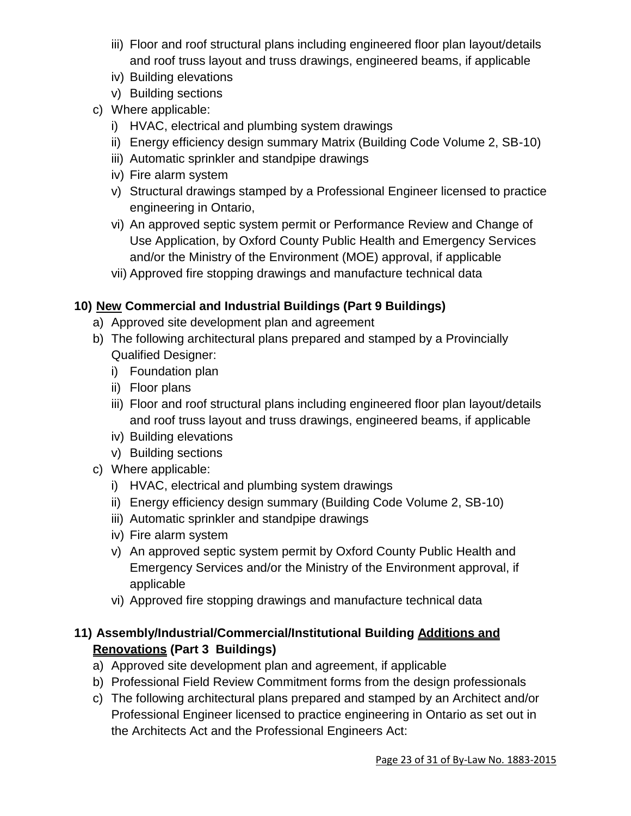- iii) Floor and roof structural plans including engineered floor plan layout/details and roof truss layout and truss drawings, engineered beams, if applicable
- iv) Building elevations
- v) Building sections
- c) Where applicable:
	- i) HVAC, electrical and plumbing system drawings
	- ii) Energy efficiency design summary Matrix (Building Code Volume 2, SB-10)
	- iii) Automatic sprinkler and standpipe drawings
	- iv) Fire alarm system
	- v) Structural drawings stamped by a Professional Engineer licensed to practice engineering in Ontario,
	- vi) An approved septic system permit or Performance Review and Change of Use Application, by Oxford County Public Health and Emergency Services and/or the Ministry of the Environment (MOE) approval, if applicable
	- vii) Approved fire stopping drawings and manufacture technical data

# **10) New Commercial and Industrial Buildings (Part 9 Buildings)**

- a) Approved site development plan and agreement
- b) The following architectural plans prepared and stamped by a Provincially Qualified Designer:
	- i) Foundation plan
	- ii) Floor plans
	- iii) Floor and roof structural plans including engineered floor plan layout/details and roof truss layout and truss drawings, engineered beams, if applicable
	- iv) Building elevations
	- v) Building sections
- c) Where applicable:
	- i) HVAC, electrical and plumbing system drawings
	- ii) Energy efficiency design summary (Building Code Volume 2, SB-10)
	- iii) Automatic sprinkler and standpipe drawings
	- iv) Fire alarm system
	- v) An approved septic system permit by Oxford County Public Health and Emergency Services and/or the Ministry of the Environment approval, if applicable
	- vi) Approved fire stopping drawings and manufacture technical data

# **11) Assembly/Industrial/Commercial/Institutional Building Additions and Renovations (Part 3 Buildings)**

- a) Approved site development plan and agreement, if applicable
- b) Professional Field Review Commitment forms from the design professionals
- c) The following architectural plans prepared and stamped by an Architect and/or Professional Engineer licensed to practice engineering in Ontario as set out in the Architects Act and the Professional Engineers Act: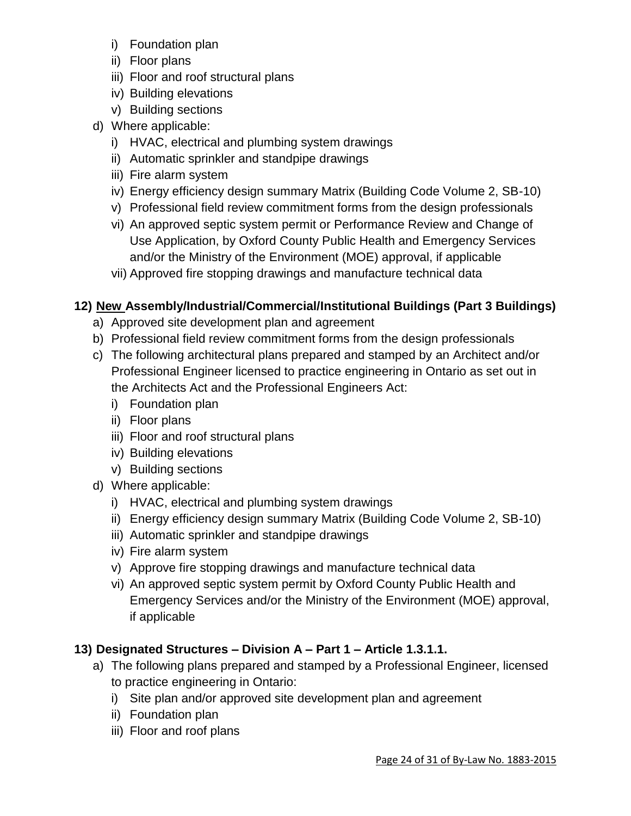- i) Foundation plan
- ii) Floor plans
- iii) Floor and roof structural plans
- iv) Building elevations
- v) Building sections
- d) Where applicable:
	- i) HVAC, electrical and plumbing system drawings
	- ii) Automatic sprinkler and standpipe drawings
	- iii) Fire alarm system
	- iv) Energy efficiency design summary Matrix (Building Code Volume 2, SB-10)
	- v) Professional field review commitment forms from the design professionals
	- vi) An approved septic system permit or Performance Review and Change of Use Application, by Oxford County Public Health and Emergency Services and/or the Ministry of the Environment (MOE) approval, if applicable
	- vii) Approved fire stopping drawings and manufacture technical data

# **12) New Assembly/Industrial/Commercial/Institutional Buildings (Part 3 Buildings)**

- a) Approved site development plan and agreement
- b) Professional field review commitment forms from the design professionals
- c) The following architectural plans prepared and stamped by an Architect and/or Professional Engineer licensed to practice engineering in Ontario as set out in the Architects Act and the Professional Engineers Act:
	- i) Foundation plan
	- ii) Floor plans
	- iii) Floor and roof structural plans
	- iv) Building elevations
	- v) Building sections
- d) Where applicable:
	- i) HVAC, electrical and plumbing system drawings
	- ii) Energy efficiency design summary Matrix (Building Code Volume 2, SB-10)
	- iii) Automatic sprinkler and standpipe drawings
	- iv) Fire alarm system
	- v) Approve fire stopping drawings and manufacture technical data
	- vi) An approved septic system permit by Oxford County Public Health and Emergency Services and/or the Ministry of the Environment (MOE) approval, if applicable

# **13) Designated Structures – Division A – Part 1 – Article 1.3.1.1.**

- a) The following plans prepared and stamped by a Professional Engineer, licensed to practice engineering in Ontario:
	- i) Site plan and/or approved site development plan and agreement
	- ii) Foundation plan
	- iii) Floor and roof plans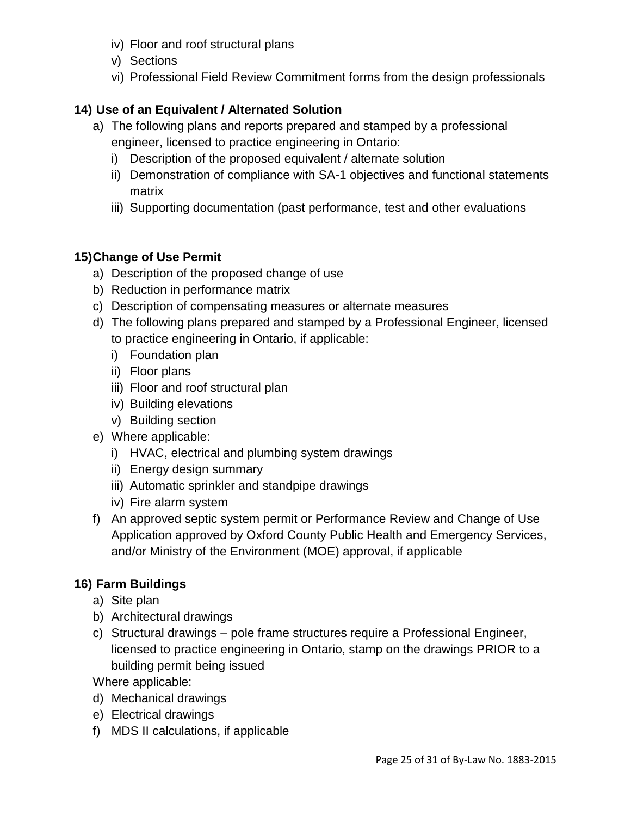- iv) Floor and roof structural plans
- v) Sections
- vi) Professional Field Review Commitment forms from the design professionals

# **14) Use of an Equivalent / Alternated Solution**

- a) The following plans and reports prepared and stamped by a professional engineer, licensed to practice engineering in Ontario:
	- i) Description of the proposed equivalent / alternate solution
	- ii) Demonstration of compliance with SA-1 objectives and functional statements matrix
	- iii) Supporting documentation (past performance, test and other evaluations

# **15)Change of Use Permit**

- a) Description of the proposed change of use
- b) Reduction in performance matrix
- c) Description of compensating measures or alternate measures
- d) The following plans prepared and stamped by a Professional Engineer, licensed to practice engineering in Ontario, if applicable:
	- i) Foundation plan
	- ii) Floor plans
	- iii) Floor and roof structural plan
	- iv) Building elevations
	- v) Building section
- e) Where applicable:
	- i) HVAC, electrical and plumbing system drawings
	- ii) Energy design summary
	- iii) Automatic sprinkler and standpipe drawings
	- iv) Fire alarm system
- f) An approved septic system permit or Performance Review and Change of Use Application approved by Oxford County Public Health and Emergency Services, and/or Ministry of the Environment (MOE) approval, if applicable

# **16) Farm Buildings**

- a) Site plan
- b) Architectural drawings
- c) Structural drawings pole frame structures require a Professional Engineer, licensed to practice engineering in Ontario, stamp on the drawings PRIOR to a building permit being issued

Where applicable:

- d) Mechanical drawings
- e) Electrical drawings
- f) MDS II calculations, if applicable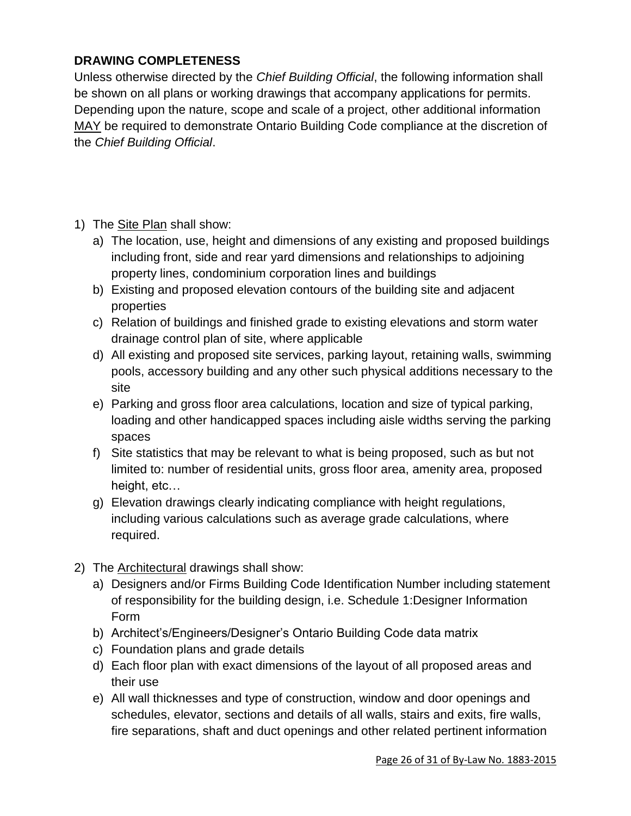# **DRAWING COMPLETENESS**

Unless otherwise directed by the *Chief Building Official*, the following information shall be shown on all plans or working drawings that accompany applications for permits. Depending upon the nature, scope and scale of a project, other additional information MAY be required to demonstrate Ontario Building Code compliance at the discretion of the *Chief Building Official*.

- 1) The Site Plan shall show:
	- a) The location, use, height and dimensions of any existing and proposed buildings including front, side and rear yard dimensions and relationships to adjoining property lines, condominium corporation lines and buildings
	- b) Existing and proposed elevation contours of the building site and adjacent properties
	- c) Relation of buildings and finished grade to existing elevations and storm water drainage control plan of site, where applicable
	- d) All existing and proposed site services, parking layout, retaining walls, swimming pools, accessory building and any other such physical additions necessary to the site
	- e) Parking and gross floor area calculations, location and size of typical parking, loading and other handicapped spaces including aisle widths serving the parking spaces
	- f) Site statistics that may be relevant to what is being proposed, such as but not limited to: number of residential units, gross floor area, amenity area, proposed height, etc…
	- g) Elevation drawings clearly indicating compliance with height regulations, including various calculations such as average grade calculations, where required.
- 2) The Architectural drawings shall show:
	- a) Designers and/or Firms Building Code Identification Number including statement of responsibility for the building design, i.e. Schedule 1:Designer Information Form
	- b) Architect's/Engineers/Designer's Ontario Building Code data matrix
	- c) Foundation plans and grade details
	- d) Each floor plan with exact dimensions of the layout of all proposed areas and their use
	- e) All wall thicknesses and type of construction, window and door openings and schedules, elevator, sections and details of all walls, stairs and exits, fire walls, fire separations, shaft and duct openings and other related pertinent information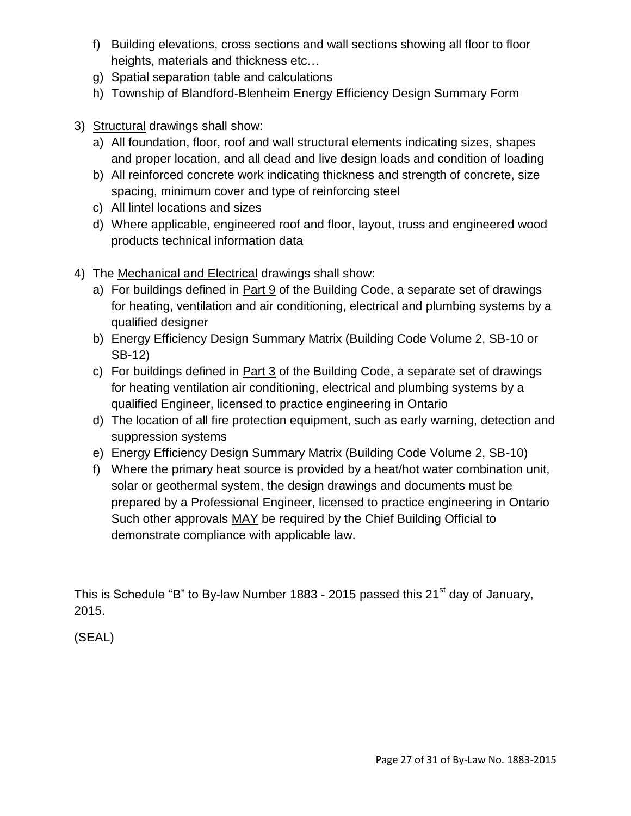- f) Building elevations, cross sections and wall sections showing all floor to floor heights, materials and thickness etc…
- g) Spatial separation table and calculations
- h) Township of Blandford-Blenheim Energy Efficiency Design Summary Form
- 3) Structural drawings shall show:
	- a) All foundation, floor, roof and wall structural elements indicating sizes, shapes and proper location, and all dead and live design loads and condition of loading
	- b) All reinforced concrete work indicating thickness and strength of concrete, size spacing, minimum cover and type of reinforcing steel
	- c) All lintel locations and sizes
	- d) Where applicable, engineered roof and floor, layout, truss and engineered wood products technical information data
- 4) The Mechanical and Electrical drawings shall show:
	- a) For buildings defined in Part 9 of the Building Code, a separate set of drawings for heating, ventilation and air conditioning, electrical and plumbing systems by a qualified designer
	- b) Energy Efficiency Design Summary Matrix (Building Code Volume 2, SB-10 or SB-12)
	- c) For buildings defined in Part 3 of the Building Code, a separate set of drawings for heating ventilation air conditioning, electrical and plumbing systems by a qualified Engineer, licensed to practice engineering in Ontario
	- d) The location of all fire protection equipment, such as early warning, detection and suppression systems
	- e) Energy Efficiency Design Summary Matrix (Building Code Volume 2, SB-10)
	- f) Where the primary heat source is provided by a heat/hot water combination unit, solar or geothermal system, the design drawings and documents must be prepared by a Professional Engineer, licensed to practice engineering in Ontario Such other approvals MAY be required by the Chief Building Official to demonstrate compliance with applicable law.

This is Schedule "B" to By-law Number 1883 - 2015 passed this 21<sup>st</sup> day of January, 2015.

(SEAL)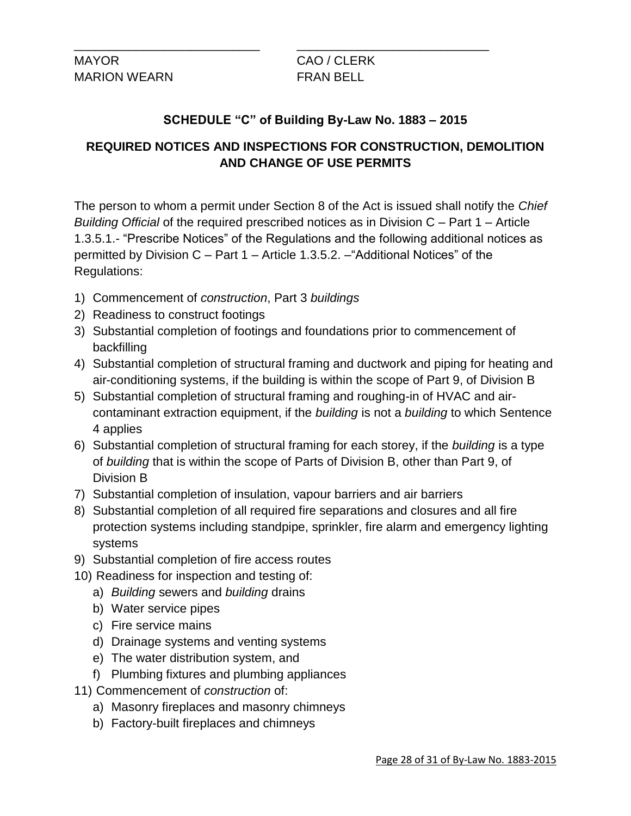MAYOR CAO / CLERK MARION WEARN FRAN BELL

# **SCHEDULE "C" of Building By-Law No. 1883 – 2015**

\_\_\_\_\_\_\_\_\_\_\_\_\_\_\_\_\_\_\_\_\_\_\_\_\_\_\_ \_\_\_\_\_\_\_\_\_\_\_\_\_\_\_\_\_\_\_\_\_\_\_\_\_\_\_\_

# **REQUIRED NOTICES AND INSPECTIONS FOR CONSTRUCTION, DEMOLITION AND CHANGE OF USE PERMITS**

The person to whom a permit under Section 8 of the Act is issued shall notify the *Chief Building Official* of the required prescribed notices as in Division C – Part 1 – Article 1.3.5.1.- "Prescribe Notices" of the Regulations and the following additional notices as permitted by Division C – Part 1 – Article 1.3.5.2. –"Additional Notices" of the Regulations:

- 1) Commencement of *construction*, Part 3 *buildings*
- 2) Readiness to construct footings
- 3) Substantial completion of footings and foundations prior to commencement of backfilling
- 4) Substantial completion of structural framing and ductwork and piping for heating and air-conditioning systems, if the building is within the scope of Part 9, of Division B
- 5) Substantial completion of structural framing and roughing-in of HVAC and aircontaminant extraction equipment, if the *building* is not a *building* to which Sentence 4 applies
- 6) Substantial completion of structural framing for each storey, if the *building* is a type of *building* that is within the scope of Parts of Division B, other than Part 9, of Division B
- 7) Substantial completion of insulation, vapour barriers and air barriers
- 8) Substantial completion of all required fire separations and closures and all fire protection systems including standpipe, sprinkler, fire alarm and emergency lighting systems
- 9) Substantial completion of fire access routes
- 10) Readiness for inspection and testing of:
	- a) *Building* sewers and *building* drains
	- b) Water service pipes
	- c) Fire service mains
	- d) Drainage systems and venting systems
	- e) The water distribution system, and
	- f) Plumbing fixtures and plumbing appliances
- 11) Commencement of *construction* of:
	- a) Masonry fireplaces and masonry chimneys
	- b) Factory-built fireplaces and chimneys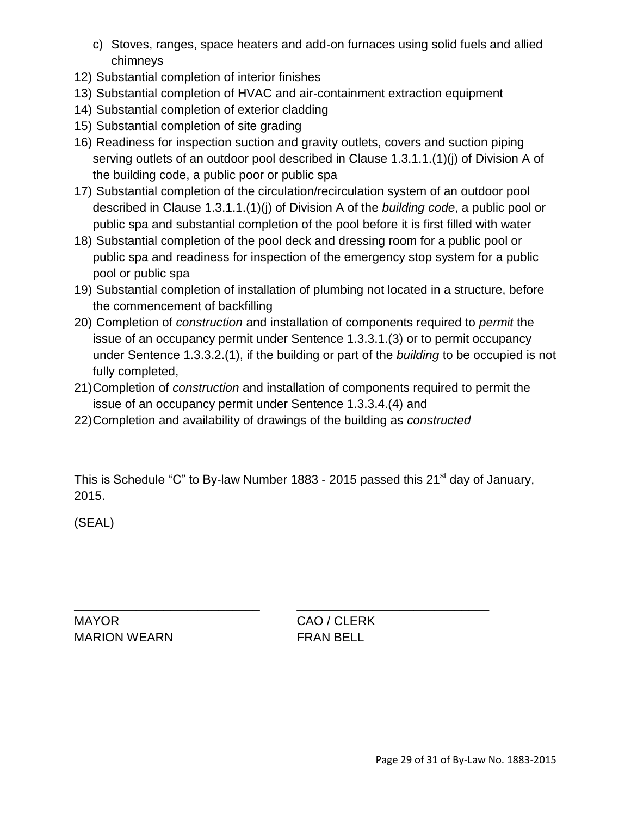- c) Stoves, ranges, space heaters and add-on furnaces using solid fuels and allied chimneys
- 12) Substantial completion of interior finishes
- 13) Substantial completion of HVAC and air-containment extraction equipment
- 14) Substantial completion of exterior cladding
- 15) Substantial completion of site grading
- 16) Readiness for inspection suction and gravity outlets, covers and suction piping serving outlets of an outdoor pool described in Clause 1.3.1.1.(1)(j) of Division A of the building code, a public poor or public spa
- 17) Substantial completion of the circulation/recirculation system of an outdoor pool described in Clause 1.3.1.1.(1)(j) of Division A of the *building code*, a public pool or public spa and substantial completion of the pool before it is first filled with water
- 18) Substantial completion of the pool deck and dressing room for a public pool or public spa and readiness for inspection of the emergency stop system for a public pool or public spa
- 19) Substantial completion of installation of plumbing not located in a structure, before the commencement of backfilling
- 20) Completion of *construction* and installation of components required to *permit* the issue of an occupancy permit under Sentence 1.3.3.1.(3) or to permit occupancy under Sentence 1.3.3.2.(1), if the building or part of the *building* to be occupied is not fully completed,
- 21)Completion of *construction* and installation of components required to permit the issue of an occupancy permit under Sentence 1.3.3.4.(4) and
- 22)Completion and availability of drawings of the building as *constructed*

\_\_\_\_\_\_\_\_\_\_\_\_\_\_\_\_\_\_\_\_\_\_\_\_\_\_\_ \_\_\_\_\_\_\_\_\_\_\_\_\_\_\_\_\_\_\_\_\_\_\_\_\_\_\_\_

This is Schedule "C" to By-law Number 1883 - 2015 passed this 21<sup>st</sup> day of January, 2015.

(SEAL)

MAYOR CAO / CLERK MARION WEARN FRAN BELL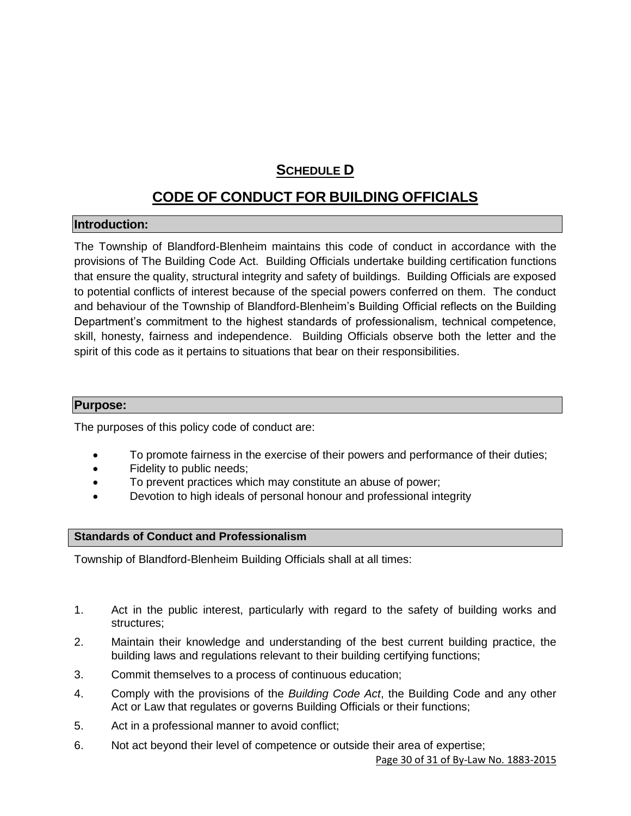# **SCHEDULE D**

# **CODE OF CONDUCT FOR BUILDING OFFICIALS**

#### **Introduction:**

The Township of Blandford-Blenheim maintains this code of conduct in accordance with the provisions of The Building Code Act. Building Officials undertake building certification functions that ensure the quality, structural integrity and safety of buildings. Building Officials are exposed to potential conflicts of interest because of the special powers conferred on them. The conduct and behaviour of the Township of Blandford-Blenheim's Building Official reflects on the Building Department's commitment to the highest standards of professionalism, technical competence, skill, honesty, fairness and independence. Building Officials observe both the letter and the spirit of this code as it pertains to situations that bear on their responsibilities.

#### **Purpose:**

The purposes of this policy code of conduct are:

- To promote fairness in the exercise of their powers and performance of their duties;
- Fidelity to public needs;
- To prevent practices which may constitute an abuse of power;
- Devotion to high ideals of personal honour and professional integrity

#### **Standards of Conduct and Professionalism**

Township of Blandford-Blenheim Building Officials shall at all times:

- 1. Act in the public interest, particularly with regard to the safety of building works and structures;
- 2. Maintain their knowledge and understanding of the best current building practice, the building laws and regulations relevant to their building certifying functions;
- 3. Commit themselves to a process of continuous education;
- 4. Comply with the provisions of the *Building Code Act*, the Building Code and any other Act or Law that regulates or governs Building Officials or their functions;
- 5. Act in a professional manner to avoid conflict;
- 6. Not act beyond their level of competence or outside their area of expertise;